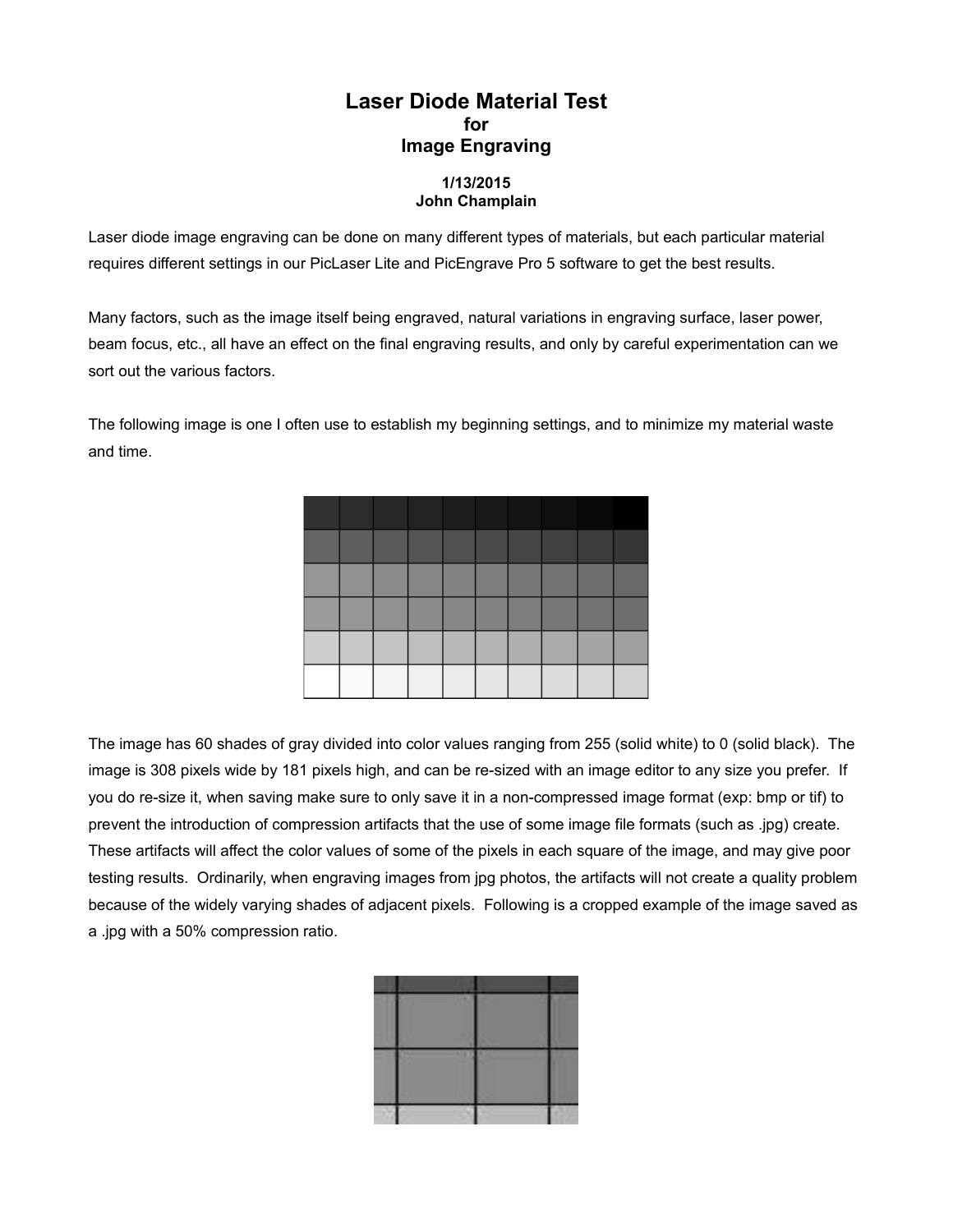## **Laser Diode Material Test for Image Engraving**

## **1/13/2015 John Champlain**

Laser diode image engraving can be done on many different types of materials, but each particular material requires different settings in our PicLaser Lite and PicEngrave Pro 5 software to get the best results.

Many factors, such as the image itself being engraved, natural variations in engraving surface, laser power, beam focus, etc., all have an effect on the final engraving results, and only by careful experimentation can we sort out the various factors.

The following image is one I often use to establish my beginning settings, and to minimize my material waste and time.



The image has 60 shades of gray divided into color values ranging from 255 (solid white) to 0 (solid black). The image is 308 pixels wide by 181 pixels high, and can be re-sized with an image editor to any size you prefer. If you do re-size it, when saving make sure to only save it in a non-compressed image format (exp: bmp or tif) to prevent the introduction of compression artifacts that the use of some image file formats (such as .jpg) create. These artifacts will affect the color values of some of the pixels in each square of the image, and may give poor testing results. Ordinarily, when engraving images from jpg photos, the artifacts will not create a quality problem because of the widely varying shades of adjacent pixels. Following is a cropped example of the image saved as a .jpg with a 50% compression ratio.